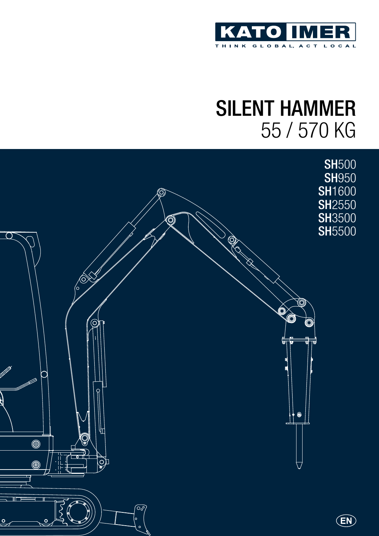

## Silent hammer 55 / 570 kg

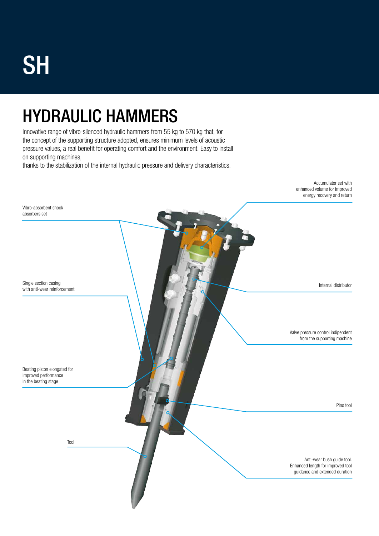# **SH**

## Hydraulic hammers

Innovative range of vibro-silenced hydraulic hammers from 55 kg to 570 kg that, for the concept of the supporting structure adopted, ensures minimum levels of acoustic pressure values, a real benefit for operating comfort and the environment. Easy to install on supporting machines,

thanks to the stabilization of the internal hydraulic pressure and delivery characteristics.

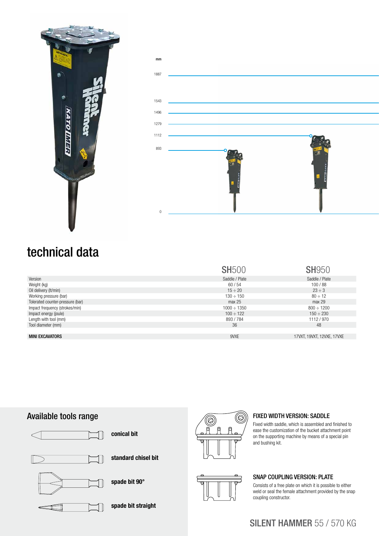



#### technical data

|                                  | <b>SH500</b>     | <b>SH950</b>               |
|----------------------------------|------------------|----------------------------|
| Version                          | Saddle / Plate   | Saddle / Plate             |
| Weight (kg)                      | 60/54            | 100/88                     |
| Oil delivery (It/min)            | $15 \div 20$     | $23 \div 3$                |
| Working pressure (bar)           | $130 \div 150$   | $80 \div 12$               |
| Tolerated counter-pressure (bar) | max 25           | max 29                     |
| Impact frequency (strokes/min)   | $1000 \div 1350$ | $800 \div 1200$            |
| Impact energy (joule)            | $100 \div 122$   | $150 \div 230$             |
| Length with tool (mm)            | 893/784          | 1112/970                   |
| Tool diameter (mm)               | 36               | 48                         |
|                                  |                  |                            |
| <b>MINI EXCAVATORS</b>           | 9VXE             | 17VXT, 19VXT, 12VXE, 17VXE |

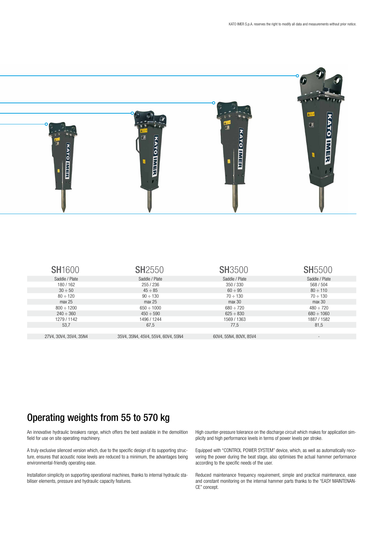

| <b>SH1600</b>          | <b>SH2550</b>                      | <b>SH3500</b>          | <b>SH5500</b>            |
|------------------------|------------------------------------|------------------------|--------------------------|
| Saddle / Plate         | Saddle / Plate                     | Saddle / Plate         | Saddle / Plate           |
| 180/162                | 255/236                            | 350/330                | 568 / 504                |
| $30 \div 50$           | $45 \div 85$                       | $60 \div 95$           | $80 \div 110$            |
| $80 \div 120$          | $90 \div 130$                      | $70 \div 130$          | $70 \div 130$            |
| max 25                 | max 25                             | max 30                 | max 30                   |
| $800 \div 1200$        | $650 \div 1000$                    | $680 \div 720$         | $480 \div 720$           |
| $240 \div 360$         | $450 \div 590$                     | $625 \div 830$         | $680 \div 1060$          |
| 1279 / 1142            | 1496 / 1244                        | 1569 / 1363            | 1887 / 1582              |
| 53,7                   | 67,5                               | 77,5                   | 81,5                     |
|                        |                                    |                        |                          |
| 27V4, 30V4, 35V4, 35N4 | 35V4, 35N4, 45V4, 55V4, 60V4, 55N4 | 60V4, 55N4, 80VX, 85V4 | $\overline{\phantom{a}}$ |

#### Operating weights from 55 to 570 kg

An innovative hydraulic breakers range, which offers the best available in the demolition field for use on site operating machinery.

A truly exclusive silenced version which, due to the specific design of its supporting structure, ensures that acoustic noise levels are reduced to a minimum, the advantages being environmental-friendly operating ease.

Installation simplicity on supporting operational machines, thanks to internal hydraulic stabiliser elements, pressure and hydraulic capacity features.

High counter-pressure tolerance on the discharge circuit which makes for application simplicity and high performance levels in terms of power levels per stroke.

Equipped with "CONTROL POWER SYSTEM" device, which, as well as automatically recovering the power during the beat stage, also optimises the actual hammer performance according to the specific needs of the user.

Reduced maintenance frequency requirement, simple and practical maintenance, ease and constant monitoring on the internal hammer parts thanks to the "EASY MAINTENAN-CE" concept.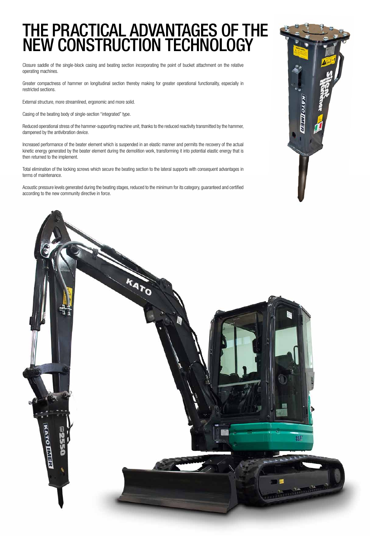### THE PRACTICAL ADVANTAGES OF T new construction technology

Closure saddle of the single-block casing and beating section incorporating the point of bucket attachment on the relative operating machines.

Greater compactness of hammer on longitudinal section thereby making for greater operational functionality, especially in restricted sections.

External structure, more streamlined, ergonomic and more solid.

Casing of the beating body of single-section "integrated" type.

Reduced operational stress of the hammer-supporting machine unit, thanks to the reduced reactivity transmitted by the hammer, dampened by the antivibration device.

Increased performance of the beater element which is suspended in an elastic manner and permits the recovery of the actual kinetic energy generated by the beater element during the demolition work, transforming it into potential elastic energy that is then returned to the implement.

Total elimination of the locking screws which secure the beating section to the lateral supports with consequent advantages in terms of maintenance.

Acoustic pressure levels generated during the beating stages, reduced to the minimum for its category, guaranteed and certified according to the new community directive in force.